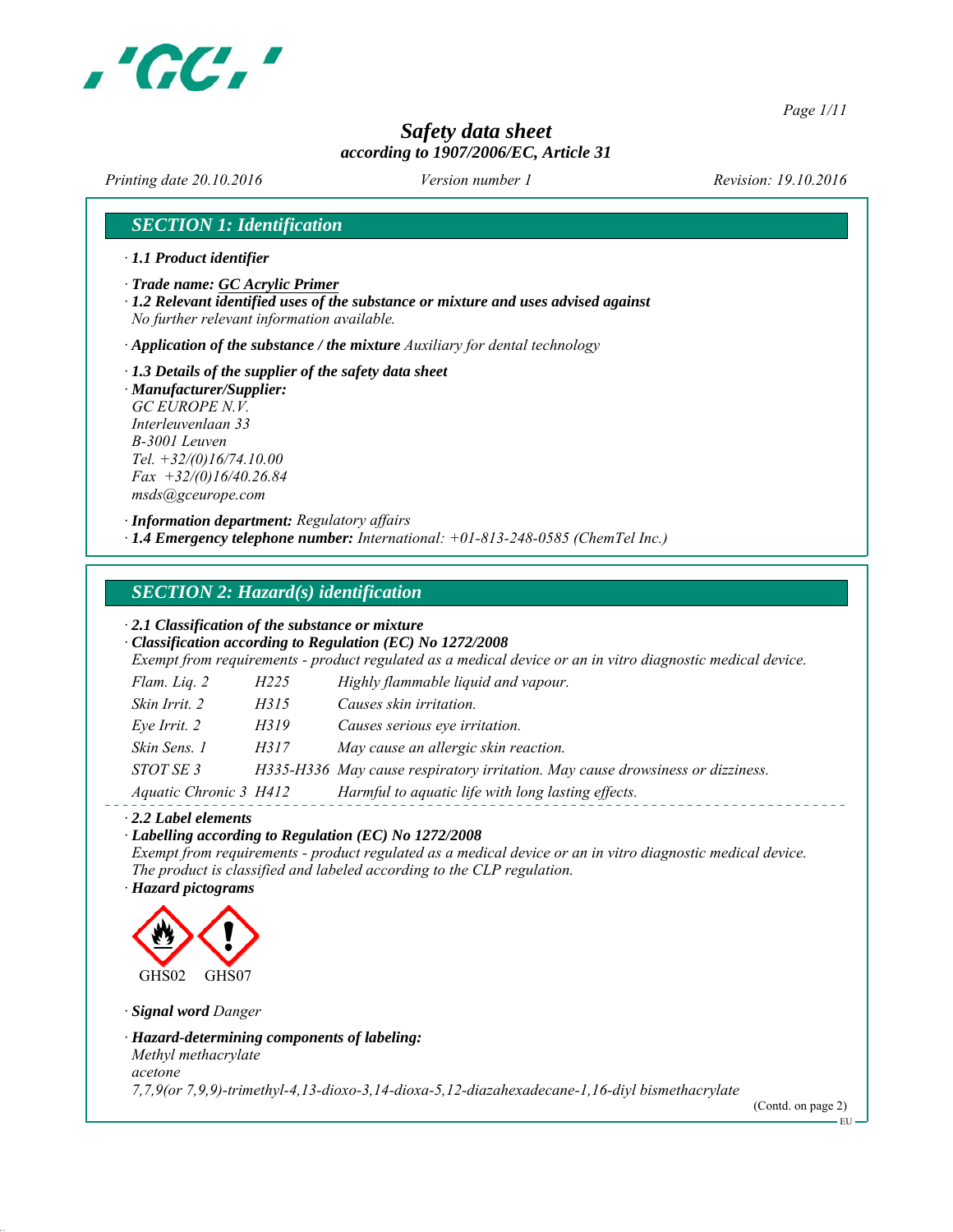

*Page 1/11*

# *Safety data sheet according to 1907/2006/EC, Article 31*

*Printing date 20.10.2016 Revision: 19.10.2016 Version number 1*

### *SECTION 1: Identification*

- *∙ 1.1 Product identifier*
- *∙ Trade name: GC Acrylic Primer*
- *∙ 1.2 Relevant identified uses of the substance or mixture and uses advised against No further relevant information available.*

*∙ Application of the substance / the mixture Auxiliary for dental technology*

- *∙ 1.3 Details of the supplier of the safety data sheet*
- *∙ Manufacturer/Supplier: GC EUROPE N.V. Interleuvenlaan 33 B-3001 Leuven Tel. +32/(0)16/74.10.00 Fax +32/(0)16/40.26.84 msds@gceurope.com*

*∙ Information department: Regulatory affairs ∙ 1.4 Emergency telephone number: International: +01-813-248-0585 (ChemTel Inc.)*

#### *SECTION 2: Hazard(s) identification*

#### *∙ 2.1 Classification of the substance or mixture*

*∙ Classification according to Regulation (EC) No 1272/2008 Exempt from requirements - product regulated as a medical device or an in vitro diagnostic medical device.*

| Flam. Liq. 2<br>H225          | Highly flammable liquid and vapour.                                            |
|-------------------------------|--------------------------------------------------------------------------------|
| Skin Irrit. 2<br>H315         | Causes skin irritation.                                                        |
| Eve Irrit. 2<br>H319          | Causes serious eye irritation.                                                 |
| Skin Sens. 1<br>H317          | May cause an allergic skin reaction.                                           |
| <i>STOT SE 3</i>              | H335-H336 May cause respiratory irritation. May cause drowsiness or dizziness. |
| <i>Aquatic Chronic 3 H412</i> | Harmful to aquatic life with long lasting effects.                             |

*∙ 2.2 Label elements*

#### *∙ Labelling according to Regulation (EC) No 1272/2008*

*Exempt from requirements - product regulated as a medical device or an in vitro diagnostic medical device. The product is classified and labeled according to the CLP regulation.*

*∙ Hazard pictograms*



*∙ Signal word Danger*

*∙ Hazard-determining components of labeling: Methyl methacrylate acetone*

*7,7,9(or 7,9,9)-trimethyl-4,13-dioxo-3,14-dioxa-5,12-diazahexadecane-1,16-diyl bismethacrylate*

(Contd. on page 2) EU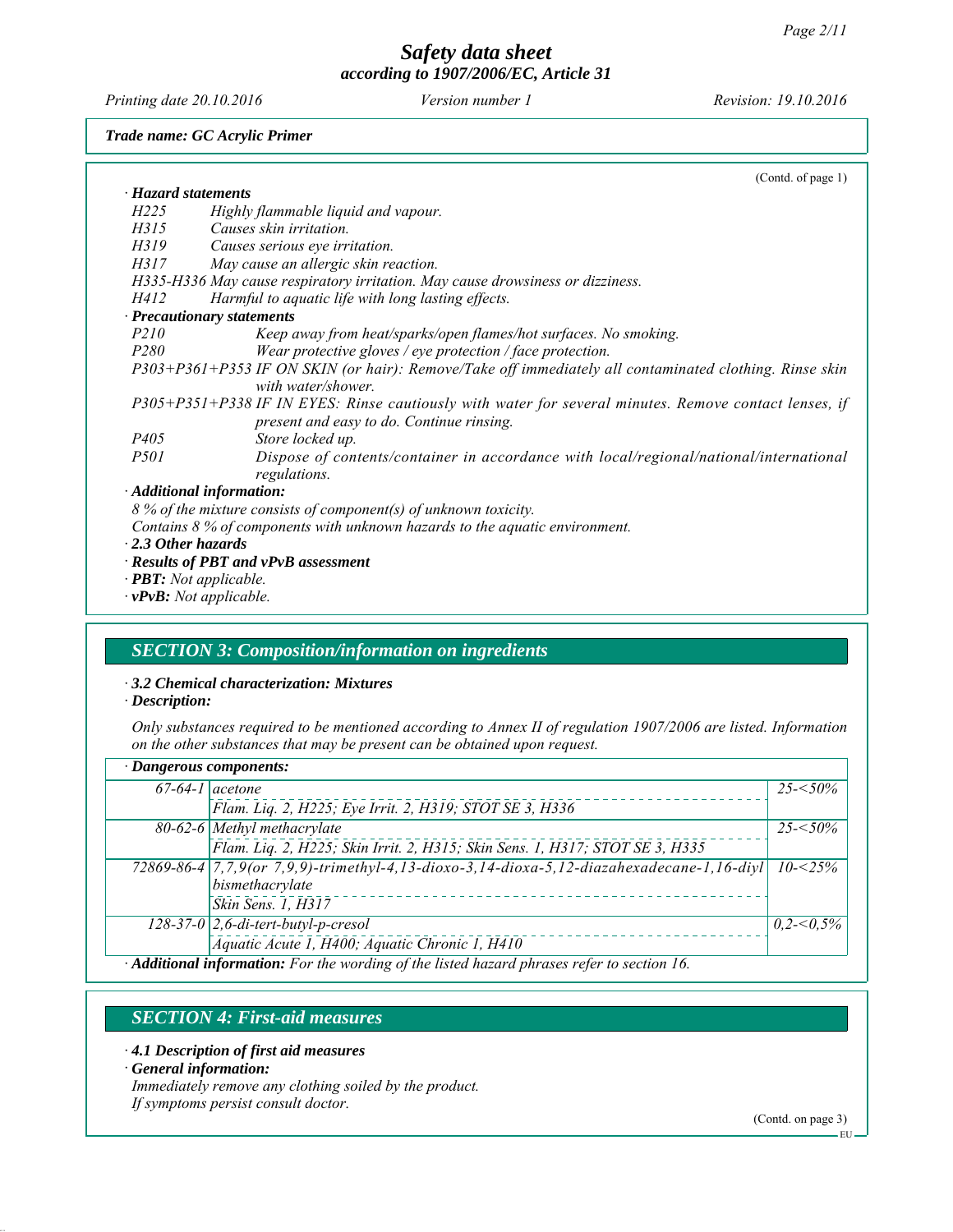*Printing date 20.10.2016 Revision: 19.10.2016 Version number 1*

*Trade name: GC Acrylic Primer*

|                           | (Contd. of page 1)                                                                                     |
|---------------------------|--------------------------------------------------------------------------------------------------------|
| · Hazard statements       |                                                                                                        |
| H <sub>225</sub>          | Highly flammable liquid and vapour.                                                                    |
| H315                      | Causes skin irritation.                                                                                |
| H319                      | Causes serious eye irritation.                                                                         |
| H317                      | May cause an allergic skin reaction.                                                                   |
|                           | H335-H336 May cause respiratory irritation. May cause drowsiness or dizziness.                         |
| H412                      | Harmful to aquatic life with long lasting effects.                                                     |
|                           | · Precautionary statements                                                                             |
| <i>P210</i>               | Keep away from heat/sparks/open flames/hot surfaces. No smoking.                                       |
| P <sub>280</sub>          | Wear protective gloves / eye protection / face protection.                                             |
|                           | P303+P361+P353 IF ON SKIN (or hair): Remove/Take off immediately all contaminated clothing. Rinse skin |
|                           | with water/shower.                                                                                     |
|                           | P305+P351+P338 IF IN EYES: Rinse cautiously with water for several minutes. Remove contact lenses, if  |
|                           | present and easy to do. Continue rinsing.                                                              |
| <i>P405</i>               | Store locked up.                                                                                       |
| <i>P501</i>               | Dispose of contents/container in accordance with local/regional/national/international<br>regulations. |
|                           | · Additional information:                                                                              |
|                           | 8 % of the mixture consists of component(s) of unknown toxicity.                                       |
|                           | Contains $8\%$ of components with unknown hazards to the aquatic environment.                          |
| $\cdot$ 2.3 Other hazards |                                                                                                        |
|                           | · Results of PBT and vPvB assessment                                                                   |
|                           | · <b>PBT</b> : Not applicable.                                                                         |
|                           | $\cdot$ <b>vPvB</b> : Not applicable.                                                                  |

# *SECTION 3: Composition/information on ingredients*

### *∙ 3.2 Chemical characterization: Mixtures*

*∙ Description:*

*Only substances required to be mentioned according to Annex II of regulation 1907/2006 are listed. Information on the other substances that may be present can be obtained upon request.*

| · Dangerous components:                                                                     |                                                                                                   |             |  |
|---------------------------------------------------------------------------------------------|---------------------------------------------------------------------------------------------------|-------------|--|
|                                                                                             | $67-64-1$ acetone                                                                                 | $25 - 50\%$ |  |
|                                                                                             | Flam. Liq. 2, H225; Eye Irrit. 2, H319; STOT SE 3, H336                                           |             |  |
|                                                                                             | $80-62-6$ Methyl methacrylate                                                                     | $25 - 50\%$ |  |
|                                                                                             | Flam. Liq. 2, H225; Skin Irrit. 2, H315; Skin Sens. 1, H317; STOT SE 3, H335                      |             |  |
|                                                                                             | 72869-86-4 7, 7, 9(or 7, 9, 9)-trimethyl-4, 13-dioxo-3, 14-dioxa-5, 12-diazahexadecane-1, 16-diyl | $10 - 25\%$ |  |
|                                                                                             | bismethacrylate                                                                                   |             |  |
|                                                                                             | Skin Sens. 1, H317                                                                                |             |  |
|                                                                                             | $128-37-0$ 2,6-di-tert-butyl-p-cresol                                                             | 0,2<0,5%    |  |
|                                                                                             | Aquatic Acute 1, H400; Aquatic Chronic 1, H410                                                    |             |  |
| · Additional information: For the wording of the listed hazard phrases refer to section 16. |                                                                                                   |             |  |

# *SECTION 4: First-aid measures*

- *∙ 4.1 Description of first aid measures*
- *∙ General information:*
- *Immediately remove any clothing soiled by the product.*

*If symptoms persist consult doctor.*

(Contd. on page 3)

EU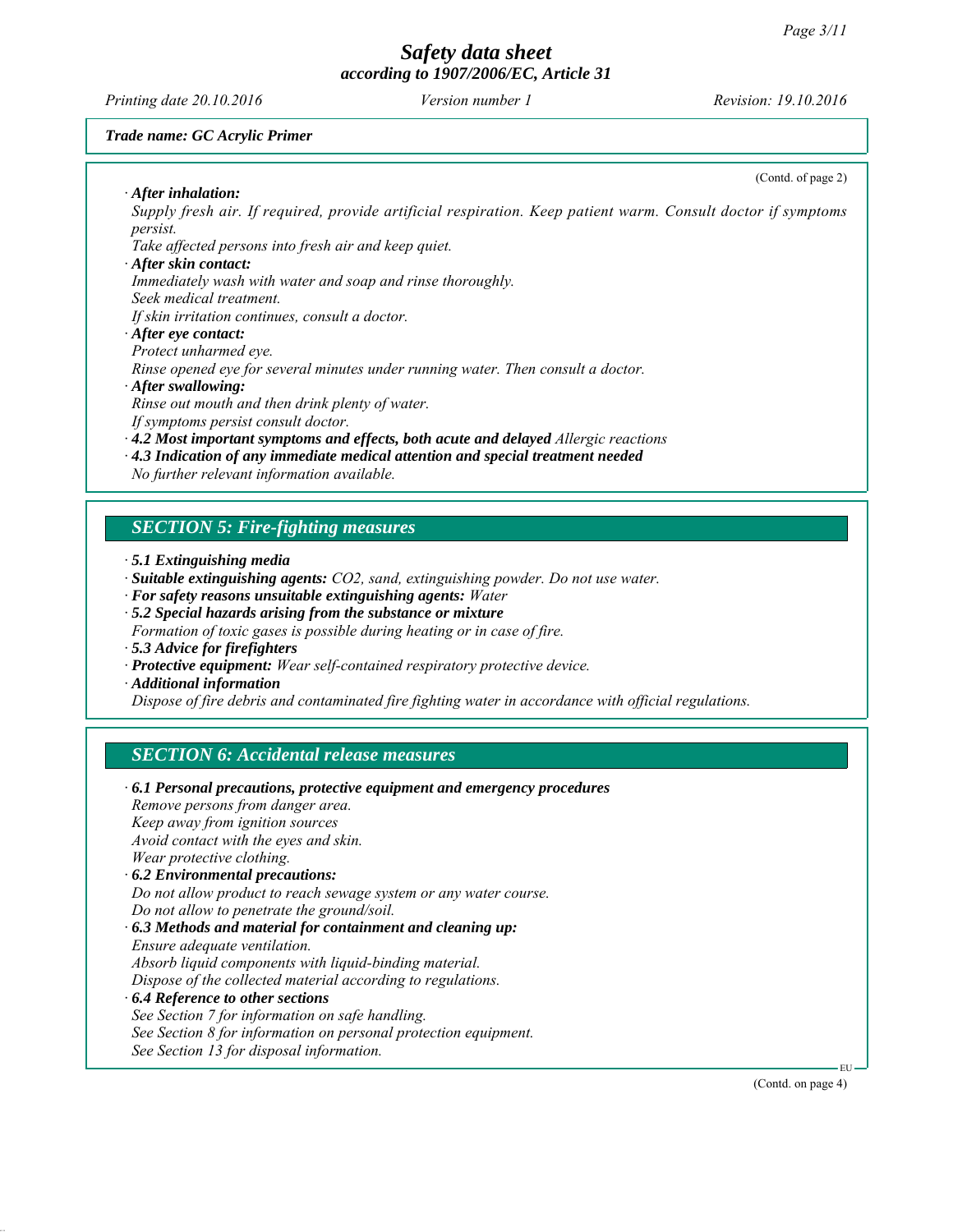*Printing date 20.10.2016 Revision: 19.10.2016 Version number 1*

(Contd. of page 2)

#### *Trade name: GC Acrylic Primer*

*∙ After inhalation:*

*Supply fresh air. If required, provide artificial respiration. Keep patient warm. Consult doctor if symptoms persist.*

*Take affected persons into fresh air and keep quiet.*

#### *∙ After skin contact:*

*Immediately wash with water and soap and rinse thoroughly.*

*Seek medical treatment.*

*If skin irritation continues, consult a doctor.*

# *∙ After eye contact:*

*Protect unharmed eye.*

*Rinse opened eye for several minutes under running water. Then consult a doctor.*

#### *∙ After swallowing:*

*Rinse out mouth and then drink plenty of water.*

*If symptoms persist consult doctor.*

*∙ 4.2 Most important symptoms and effects, both acute and delayed Allergic reactions*

*∙ 4.3 Indication of any immediate medical attention and special treatment needed*

*No further relevant information available.*

### *SECTION 5: Fire-fighting measures*

- *∙ 5.1 Extinguishing media*
- *∙ Suitable extinguishing agents: CO2, sand, extinguishing powder. Do not use water.*
- *∙ For safety reasons unsuitable extinguishing agents: Water*
- *∙ 5.2 Special hazards arising from the substance or mixture*
- *Formation of toxic gases is possible during heating or in case of fire.*
- *∙ 5.3 Advice for firefighters*
- *∙ Protective equipment: Wear self-contained respiratory protective device.*
- *∙ Additional information*

*Dispose of fire debris and contaminated fire fighting water in accordance with official regulations.*

#### *SECTION 6: Accidental release measures*

| $\cdot$ 6.1 Personal precautions, protective equipment and emergency procedures |
|---------------------------------------------------------------------------------|
| Remove persons from danger area.                                                |
| Keep away from ignition sources                                                 |
| Avoid contact with the eyes and skin.                                           |
| Wear protective clothing.                                                       |
| $\cdot$ 6.2 Environmental precautions:                                          |
| Do not allow product to reach sewage system or any water course.                |
| Do not allow to penetrate the ground/soil.                                      |
| $\cdot$ 6.3 Methods and material for containment and cleaning up:               |
| Ensure adequate ventilation.                                                    |
| Absorb liquid components with liquid-binding material.                          |
| Dispose of the collected material according to regulations.                     |
| $\cdot$ 6.4 Reference to other sections                                         |
| See Section 7 for information on safe handling.                                 |
| See Section 8 for information on personal protection equipment.                 |
| See Section 13 for disposal information.                                        |
|                                                                                 |

(Contd. on page 4)

EU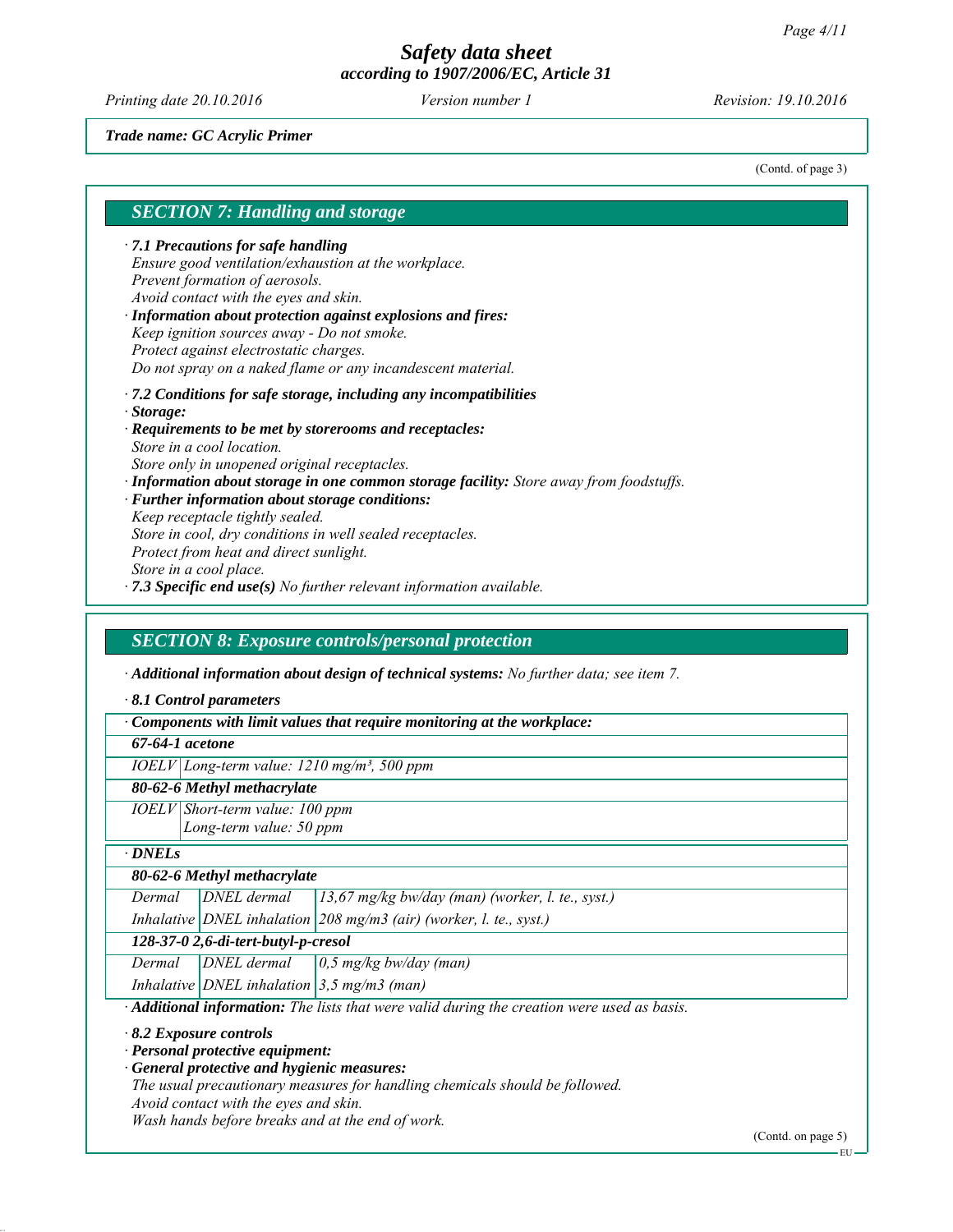*Printing date 20.10.2016 Revision: 19.10.2016 Version number 1*

*Trade name: GC Acrylic Primer*

(Contd. of page 3)

#### *SECTION 7: Handling and storage*

*∙ 7.1 Precautions for safe handling Ensure good ventilation/exhaustion at the workplace. Prevent formation of aerosols. Avoid contact with the eyes and skin.*

*∙ Information about protection against explosions and fires: Keep ignition sources away - Do not smoke. Protect against electrostatic charges. Do not spray on a naked flame or any incandescent material.*

*∙ 7.2 Conditions for safe storage, including any incompatibilities ∙ Storage:*

*∙ Requirements to be met by storerooms and receptacles: Store in a cool location. Store only in unopened original receptacles.*

*∙ Information about storage in one common storage facility: Store away from foodstuffs.*

*∙ Further information about storage conditions:*

*Keep receptacle tightly sealed.*

*Store in cool, dry conditions in well sealed receptacles.*

*Protect from heat and direct sunlight.*

*Store in a cool place.*

*∙ 7.3 Specific end use(s) No further relevant information available.*

#### *SECTION 8: Exposure controls/personal protection*

*∙ Additional information about design of technical systems: No further data; see item 7.*

*∙ 8.1 Control parameters*

*∙ Components with limit values that require monitoring at the workplace:*

*67-64-1 acetone*

*IOELV Long-term value: 1210 mg/m³, 500 ppm*

*80-62-6 Methyl methacrylate*

*IOELV Short-term value: 100 ppm Long-term value: 50 ppm*

*∙ DNELs*

*80-62-6 Methyl methacrylate*

*Dermal DNEL dermal 13,67 mg/kg bw/day (man) (worker, l. te., syst.)*

*Inhalative DNEL inhalation 208 mg/m3 (air) (worker, l. te., syst.) 128-37-0 2,6-di-tert-butyl-p-cresol*

*Dermal DNEL dermal 0,5 mg/kg bw/day (man)*

*Inhalative DNEL inhalation 3,5 mg/m3 (man)*

*∙ Additional information: The lists that were valid during the creation were used as basis.*

*∙ 8.2 Exposure controls*

*∙ Personal protective equipment:*

*∙ General protective and hygienic measures:*

*The usual precautionary measures for handling chemicals should be followed.*

*Avoid contact with the eyes and skin.*

*Wash hands before breaks and at the end of work.*

(Contd. on page 5)

EU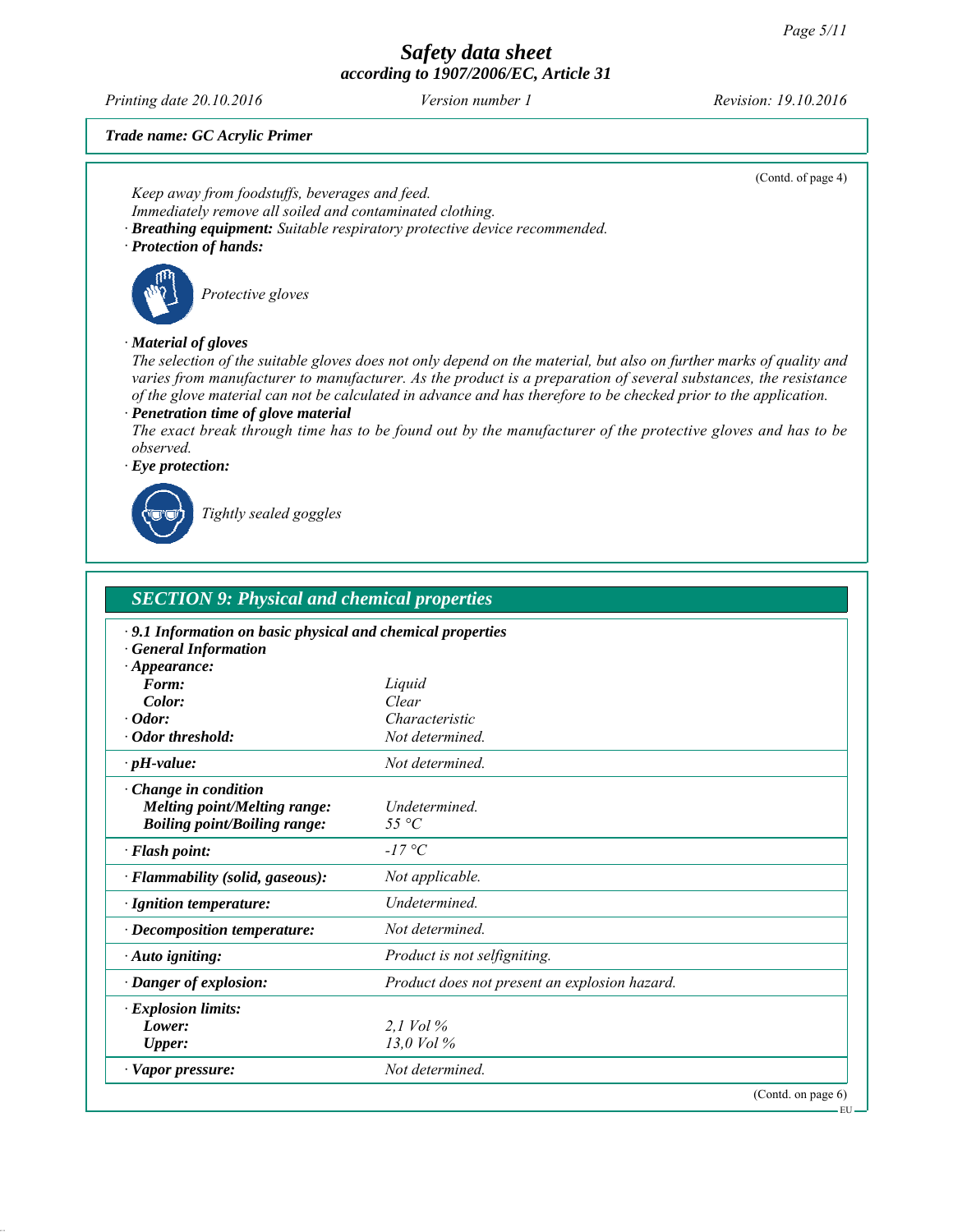*Printing date 20.10.2016 Revision: 19.10.2016 Version number 1*

(Contd. of page 4)

EU

*Trade name: GC Acrylic Primer*

*Keep away from foodstuffs, beverages and feed. Immediately remove all soiled and contaminated clothing. ∙ Breathing equipment: Suitable respiratory protective device recommended. ∙ Protection of hands: Protective gloves ∙ Material of gloves The selection of the suitable gloves does not only depend on the material, but also on further marks of quality and varies from manufacturer to manufacturer. As the product is a preparation of several substances, the resistance of the glove material can not be calculated in advance and has therefore to be checked prior to the application. ∙ Penetration time of glove material The exact break through time has to be found out by the manufacturer of the protective gloves and has to be observed. ∙ Eye protection:*



*Tightly sealed goggles*

| <b>SECTION 9: Physical and chemical properties</b>                                                               |                                               |                    |  |  |
|------------------------------------------------------------------------------------------------------------------|-----------------------------------------------|--------------------|--|--|
| · 9.1 Information on basic physical and chemical properties<br><b>General Information</b><br>$\cdot$ Appearance: |                                               |                    |  |  |
| Form:                                                                                                            | Liquid                                        |                    |  |  |
| Color:                                                                                                           | Clear                                         |                    |  |  |
| $\cdot$ Odor:                                                                                                    | Characteristic                                |                    |  |  |
| · Odor threshold:                                                                                                | Not determined.                               |                    |  |  |
| $\cdot$ pH-value:                                                                                                | Not determined.                               |                    |  |  |
| Change in condition<br><b>Melting point/Melting range:</b><br><b>Boiling point/Boiling range:</b>                | <i>Undetermined</i><br>55 °C                  |                    |  |  |
| · Flash point:                                                                                                   | $-17\degree C$                                |                    |  |  |
| $\cdot$ Flammability (solid, gaseous):                                                                           | Not applicable.                               |                    |  |  |
| $\cdot$ Ignition temperature:                                                                                    | <b>Undetermined</b>                           |                    |  |  |
| $\cdot$ Decomposition temperature:                                                                               | Not determined.                               |                    |  |  |
| $\cdot$ Auto igniting:                                                                                           | Product is not selfigniting.                  |                    |  |  |
| · Danger of explosion:                                                                                           | Product does not present an explosion hazard. |                    |  |  |
| · Explosion limits:                                                                                              |                                               |                    |  |  |
| Lower:                                                                                                           | 2.1 Vol $\%$                                  |                    |  |  |
| Upper:                                                                                                           | 13.0 Vol %                                    |                    |  |  |
| · Vapor pressure:                                                                                                | Not determined.                               |                    |  |  |
|                                                                                                                  |                                               | (Contd. on page 6) |  |  |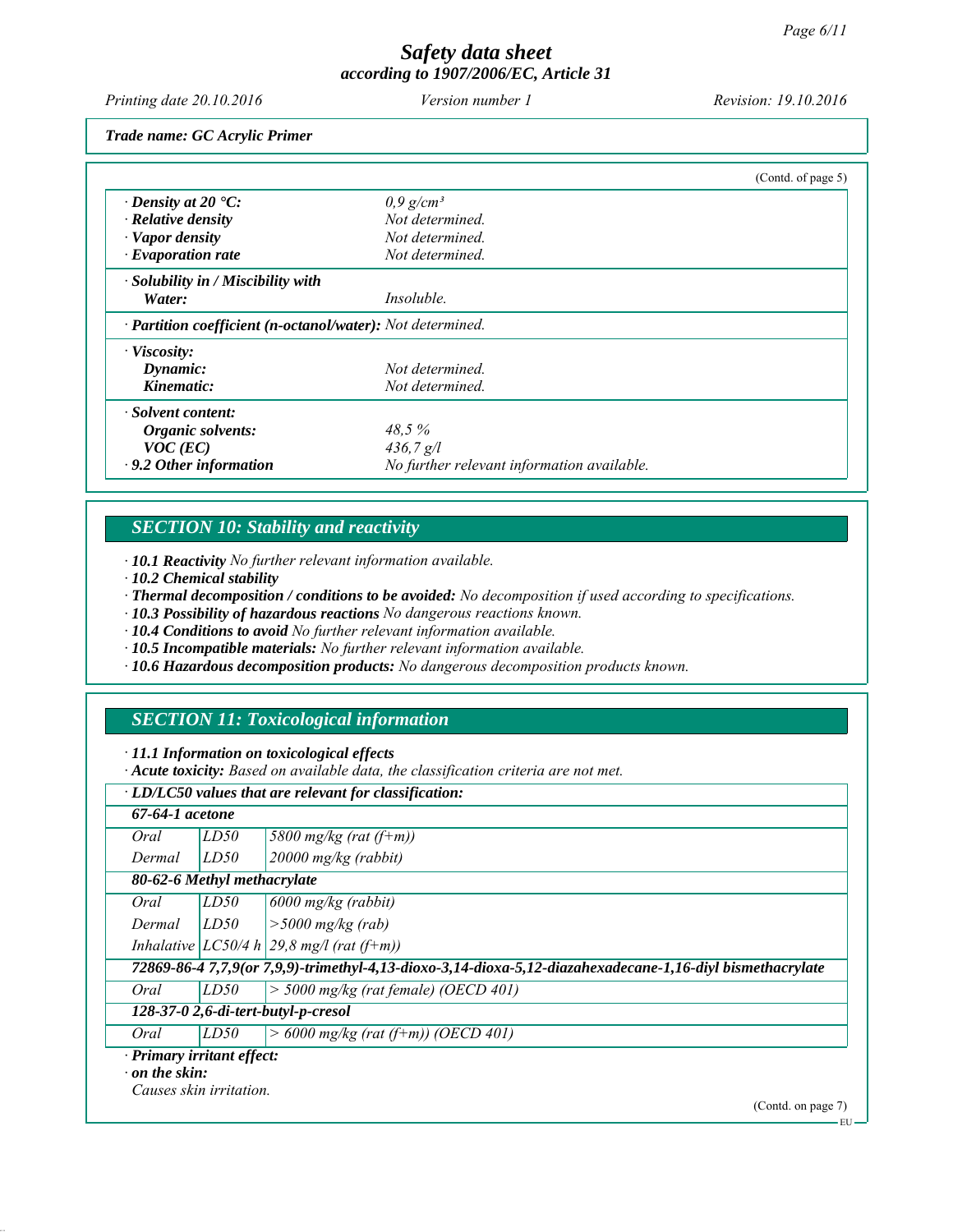EU

# *Safety data sheet according to 1907/2006/EC, Article 31*

*Printing date 20.10.2016 Revision: 19.10.2016 Version number 1*

*Trade name: GC Acrylic Primer*

|                                                            |                                            | (Contd. of page 5) |
|------------------------------------------------------------|--------------------------------------------|--------------------|
| $\cdot$ Density at 20 $\cdot$ C:                           | $0.9$ g/cm <sup>3</sup>                    |                    |
| $\cdot$ Relative density                                   | Not determined.                            |                    |
| $\cdot$ Vapor density                                      | Not determined.                            |                    |
| $\cdot$ Evaporation rate                                   | Not determined.                            |                    |
| $\cdot$ Solubility in / Miscibility with                   |                                            |                    |
| Water:                                                     | <i>Insoluble.</i>                          |                    |
| · Partition coefficient (n-octanol/water): Not determined. |                                            |                    |
| $\cdot$ Viscosity:                                         |                                            |                    |
| Dynamic:                                                   | Not determined.                            |                    |
| Kinematic:                                                 | Not determined                             |                    |
| $\cdot$ Solvent content:                                   |                                            |                    |
| Organic solvents:                                          | 48.5%                                      |                    |
| $VOC$ (EC)                                                 | 436,7 g/l                                  |                    |
| $\cdot$ 9.2 Other information                              | No further relevant information available. |                    |

# *SECTION 10: Stability and reactivity*

*∙ 10.1 Reactivity No further relevant information available.*

*∙ 10.2 Chemical stability*

*∙ Thermal decomposition / conditions to be avoided: No decomposition if used according to specifications.*

*∙ 10.3 Possibility of hazardous reactions No dangerous reactions known.*

*∙ 10.4 Conditions to avoid No further relevant information available.*

*∙ 10.5 Incompatible materials: No further relevant information available.*

*∙ 10.6 Hazardous decomposition products: No dangerous decomposition products known.*

# *SECTION 11: Toxicological information*

*∙ 11.1 Information on toxicological effects*

*∙ Acute toxicity: Based on available data, the classification criteria are not met.*

|                            |                                     | $\cdot$ LD/LC50 values that are relevant for classification:                                              |  |  |
|----------------------------|-------------------------------------|-----------------------------------------------------------------------------------------------------------|--|--|
| 67-64-1 <i>acetone</i>     |                                     |                                                                                                           |  |  |
| Oral                       | LD50                                | 5800 mg/kg (rat $(f+m)$ )                                                                                 |  |  |
| Dermal                     | LD50                                | $20000$ mg/kg (rabbit)                                                                                    |  |  |
|                            | 80-62-6 Methyl methacrylate         |                                                                                                           |  |  |
| Oral                       | LD50                                | $6000$ mg/kg (rabbit)                                                                                     |  |  |
| Dermal                     | LD50                                | $\geq 5000$ mg/kg (rab)                                                                                   |  |  |
|                            |                                     | Inhalative $ LC50/4 h 29,8 m g/l$ (rat (f+m))                                                             |  |  |
|                            |                                     | 72869-86-4 7,7,9(or 7,9,9)-trimethyl-4,13-dioxo-3,14-dioxa-5,12-diazahexadecane-1,16-diyl bismethacrylate |  |  |
| Oral                       | LD50                                | $>$ 5000 mg/kg (rat female) (OECD 401)                                                                    |  |  |
|                            | 128-37-0 2,6-di-tert-butyl-p-cresol |                                                                                                           |  |  |
| Oral                       | LD50                                | $> 6000$ mg/kg (rat (f+m)) (OECD 401)                                                                     |  |  |
| · Primary irritant effect: |                                     |                                                                                                           |  |  |
| $\cdot$ on the skin:       |                                     |                                                                                                           |  |  |
|                            | Causes skin irritation.             | (Contd. on page 7)                                                                                        |  |  |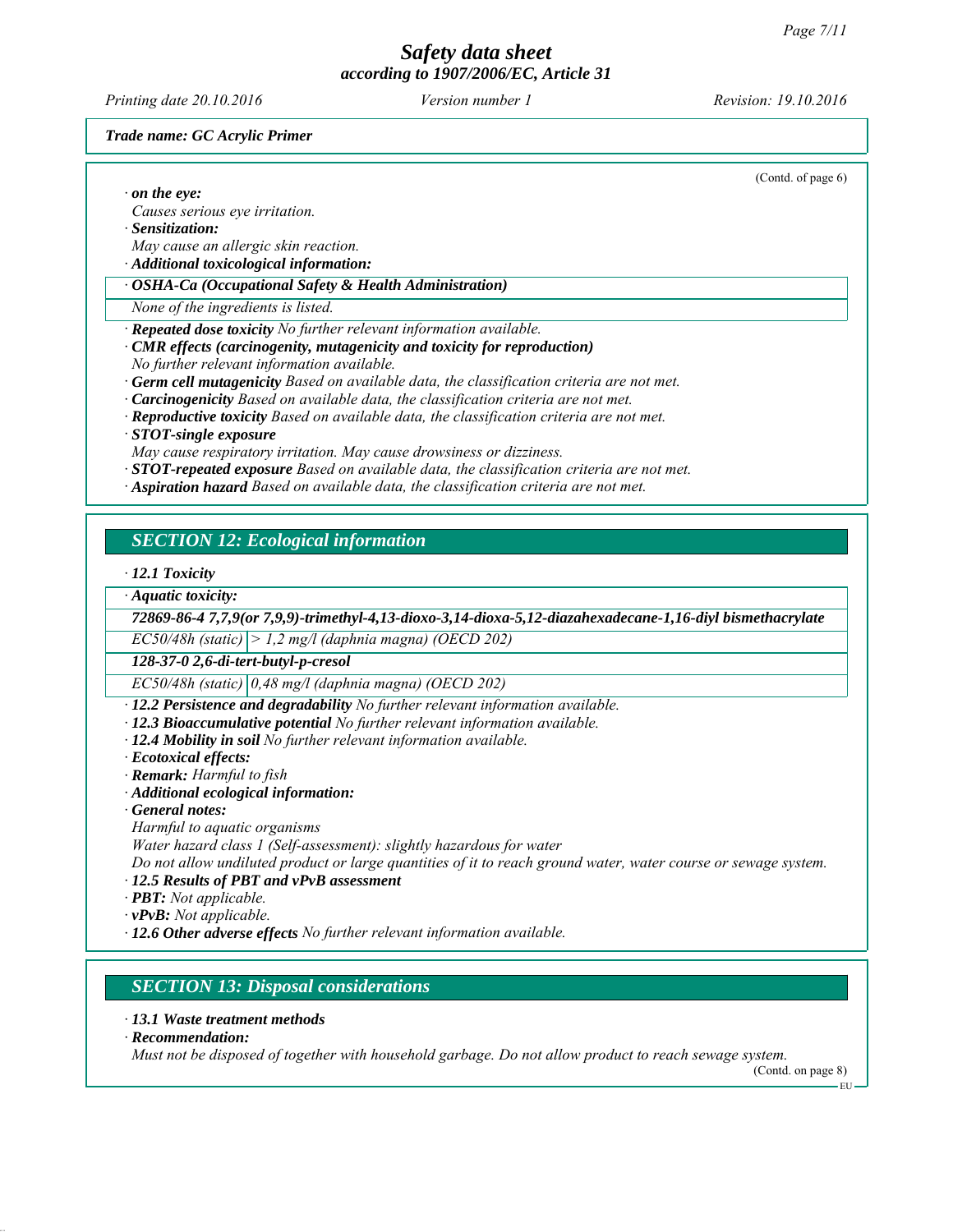*Printing date 20.10.2016 Revision: 19.10.2016 Version number 1*

(Contd. of page 6)

#### *Trade name: GC Acrylic Primer*

|  | $\cdot$ on the eye: |
|--|---------------------|
|  |                     |

- *Causes serious eye irritation.*
- *∙ Sensitization:*
- *May cause an allergic skin reaction.*
- *∙ Additional toxicological information:*

#### *∙ OSHA-Ca (Occupational Safety & Health Administration)*

- *None of the ingredients is listed.*
- *∙ Repeated dose toxicity No further relevant information available.*
- *∙ CMR effects (carcinogenity, mutagenicity and toxicity for reproduction)*
- *No further relevant information available.*
- *∙ Germ cell mutagenicity Based on available data, the classification criteria are not met.*
- *∙ Carcinogenicity Based on available data, the classification criteria are not met.*
- *∙ Reproductive toxicity Based on available data, the classification criteria are not met.*
- *∙ STOT-single exposure*
- *May cause respiratory irritation. May cause drowsiness or dizziness.*
- *∙ STOT-repeated exposure Based on available data, the classification criteria are not met.*
- *∙ Aspiration hazard Based on available data, the classification criteria are not met.*

#### *SECTION 12: Ecological information*

*∙ 12.1 Toxicity*

*∙ Aquatic toxicity:*

*72869-86-4 7,7,9(or 7,9,9)-trimethyl-4,13-dioxo-3,14-dioxa-5,12-diazahexadecane-1,16-diyl bismethacrylate*

*EC50/48h (static) > 1,2 mg/l (daphnia magna) (OECD 202)*

*128-37-0 2,6-di-tert-butyl-p-cresol*

*EC50/48h (static) 0,48 mg/l (daphnia magna) (OECD 202)*

- *∙ 12.2 Persistence and degradability No further relevant information available.*
- *∙ 12.3 Bioaccumulative potential No further relevant information available.*
- *∙ 12.4 Mobility in soil No further relevant information available.*
- *∙ Ecotoxical effects:*
- *∙ Remark: Harmful to fish*
- *∙ Additional ecological information:*
- *∙ General notes:*
- *Harmful to aquatic organisms*
- *Water hazard class 1 (Self-assessment): slightly hazardous for water*

*Do not allow undiluted product or large quantities of it to reach ground water, water course or sewage system.*

- *∙ 12.5 Results of PBT and vPvB assessment*
- *∙ PBT: Not applicable.*
- *∙ vPvB: Not applicable.*
- *∙ 12.6 Other adverse effects No further relevant information available.*

#### *SECTION 13: Disposal considerations*

- *∙ 13.1 Waste treatment methods*
- *∙ Recommendation:*

*Must not be disposed of together with household garbage. Do not allow product to reach sewage system.*

(Contd. on page 8)

EU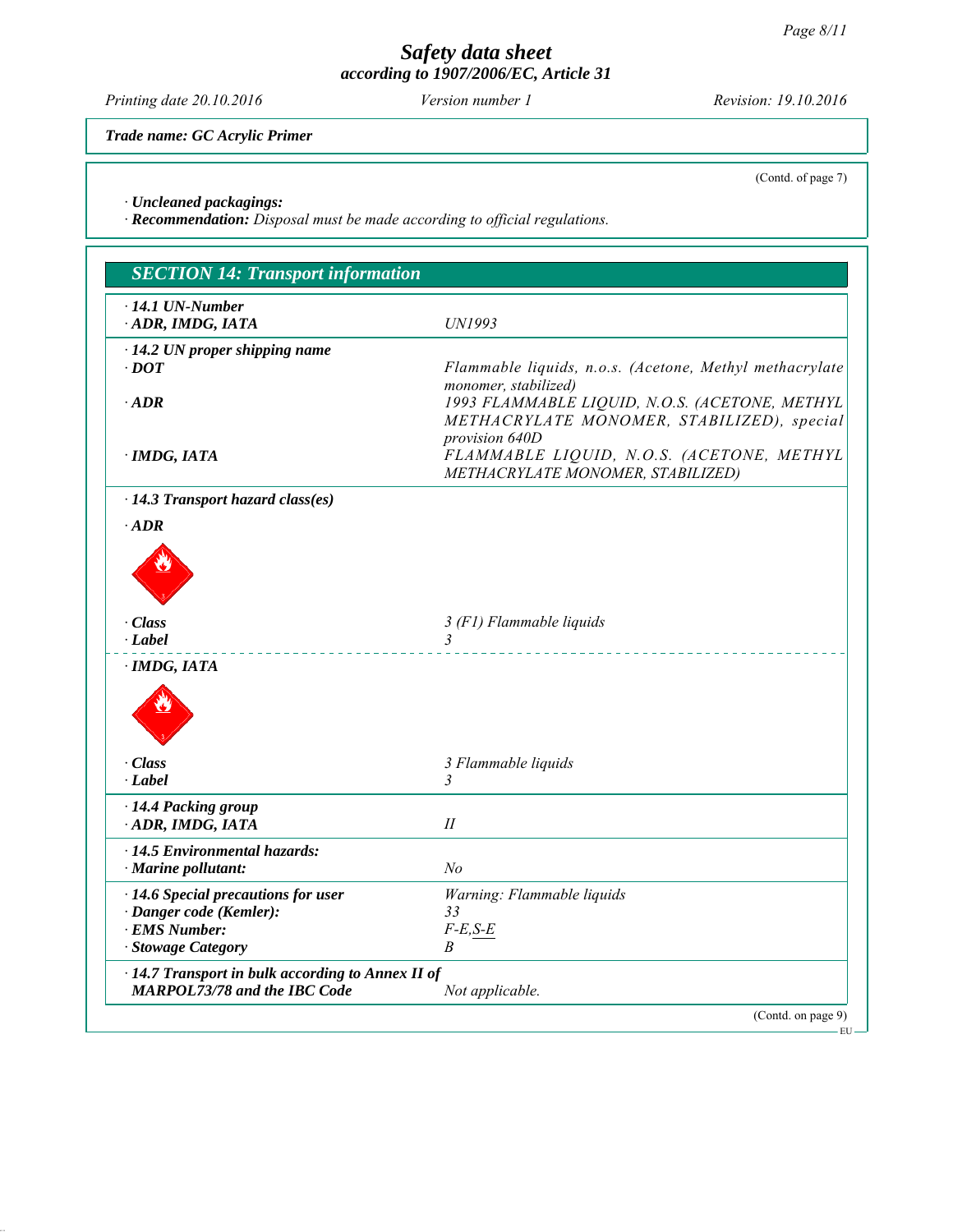*Printing date 20.10.2016 Revision: 19.10.2016 Version number 1*

*Trade name: GC Acrylic Primer*

(Contd. of page 7)

*∙ Uncleaned packagings:*

*∙ Recommendation: Disposal must be made according to official regulations.*

| <b>SECTION 14: Transport information</b>                                                       |                                                                                                                      |
|------------------------------------------------------------------------------------------------|----------------------------------------------------------------------------------------------------------------------|
| $\cdot$ 14.1 UN-Number<br>ADR, IMDG, IATA                                                      | UN1993                                                                                                               |
| · 14.2 UN proper shipping name<br>$\cdot$ DOT                                                  | Flammable liquids, n.o.s. (Acetone, Methyl methacrylate                                                              |
| $\cdot$ ADR                                                                                    | monomer, stabilized)<br>1993 FLAMMABLE LIQUID, N.O.S. (ACETONE, METHYL<br>METHACRYLATE MONOMER, STABILIZED), special |
| · IMDG, IATA                                                                                   | provision 640D<br>FLAMMABLE LIQUID, N.O.S. (ACETONE, METHYL<br>METHACRYLATE MONOMER, STABILIZED)                     |
| $\cdot$ 14.3 Transport hazard class(es)                                                        |                                                                                                                      |
| $\cdot$ ADR                                                                                    |                                                                                                                      |
| · Class                                                                                        | 3 (F1) Flammable liquids                                                                                             |
| $-Label$                                                                                       | $\overline{3}$                                                                                                       |
| · IMDG, IATA                                                                                   |                                                                                                                      |
| · Class<br>$\cdot$ Label                                                                       | 3 Flammable liquids<br>3                                                                                             |
| · 14.4 Packing group<br>ADR, IMDG, IATA                                                        | $I\!I$                                                                                                               |
| $\cdot$ 14.5 Environmental hazards:<br>$\cdot$ Marine pollutant:                               | N <sub>o</sub>                                                                                                       |
| $\cdot$ 14.6 Special precautions for user                                                      | Warning: Flammable liquids                                                                                           |
| · Danger code (Kemler):<br>· EMS Number:                                                       | 33<br>$F-E, S-E$                                                                                                     |
| · Stowage Category                                                                             | B                                                                                                                    |
| $\cdot$ 14.7 Transport in bulk according to Annex II of<br><b>MARPOL73/78 and the IBC Code</b> | Not applicable.                                                                                                      |
|                                                                                                | (Contd. on page 9)                                                                                                   |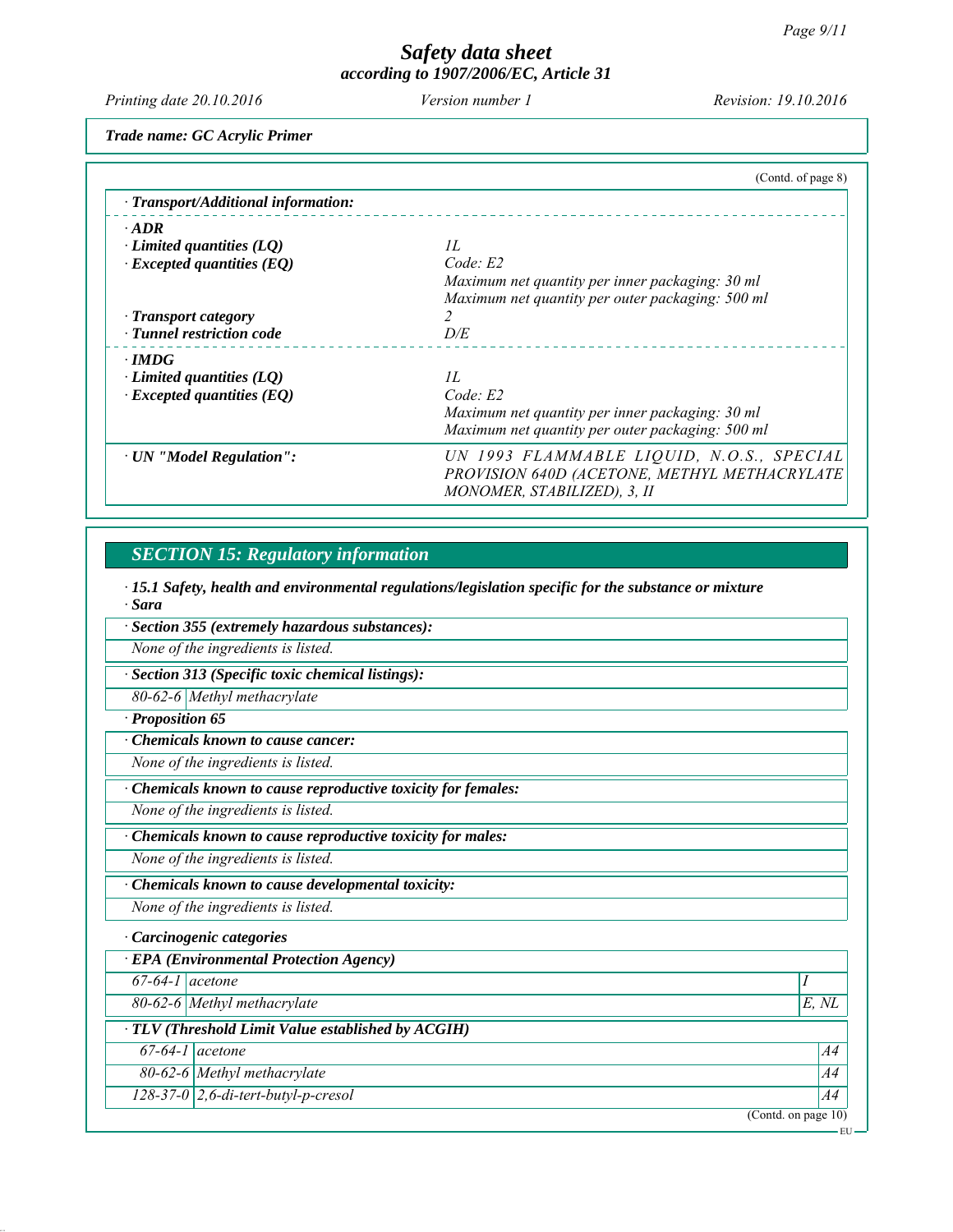EU

# *Safety data sheet according to 1907/2006/EC, Article 31*

*Printing date 20.10.2016 Revision: 19.10.2016 Version number 1*

*Trade name: GC Acrylic Primer*

|                                     | (Contd. of page 8)                               |
|-------------------------------------|--------------------------------------------------|
| · Transport/Additional information: |                                                  |
| $\cdot$ ADR                         |                                                  |
| $\cdot$ Limited quantities (LQ)     | II.                                              |
| $\cdot$ Excepted quantities (EQ)    | Code: E2                                         |
|                                     | Maximum net quantity per inner packaging: 30 ml  |
|                                     | Maximum net quantity per outer packaging: 500 ml |
| · Transport category                |                                                  |
| · Tunnel restriction code           | D/E                                              |
| $\cdot$ IMDG                        |                                                  |
| $\cdot$ Limited quantities (LQ)     | IL                                               |
| $\cdot$ Excepted quantities (EQ)    | Code: E2                                         |
|                                     | Maximum net quantity per inner packaging: 30 ml  |
|                                     | Maximum net quantity per outer packaging: 500 ml |
| · UN "Model Regulation":            | UN 1993 FLAMMABLE LIQUID, N.O.S., SPECIAL        |
|                                     | PROVISION 640D (ACETONE, METHYL METHACRYLATE     |
|                                     | MONOMER, STABILIZED), 3, II                      |
|                                     |                                                  |

# *SECTION 15: Regulatory information*

*∙ 15.1 Safety, health and environmental regulations/legislation specific for the substance or mixture ∙ Sara*

*∙ Section 355 (extremely hazardous substances):*

*None of the ingredients is listed.*

*∙ Section 313 (Specific toxic chemical listings):*

*80-62-6 Methyl methacrylate*

*∙ Proposition 65*

*∙ Chemicals known to cause cancer:*

*None of the ingredients is listed.*

*∙ Chemicals known to cause reproductive toxicity for females:*

*None of the ingredients is listed.*

*∙ Chemicals known to cause reproductive toxicity for males:*

*None of the ingredients is listed.*

*∙ Chemicals known to cause developmental toxicity:*

*None of the ingredients is listed.*

*∙ Carcinogenic categories*

| $\cdot$ EPA (Environmental Protection Agency)            |                                       |                        |  |  |
|----------------------------------------------------------|---------------------------------------|------------------------|--|--|
| $67-64-1$ acetone                                        |                                       |                        |  |  |
|                                                          | 80-62-6 Methyl methacrylate           | E. NL                  |  |  |
| $\cdot$ TLV (Threshold Limit Value established by ACGIH) |                                       |                        |  |  |
|                                                          | $67-64-1$ acetone                     | A4                     |  |  |
|                                                          | 80-62-6 Methyl methacrylate           | A4                     |  |  |
|                                                          | $128-37-0$ 2,6-di-tert-butyl-p-cresol | A4                     |  |  |
|                                                          |                                       | (Contd. on page $10$ ) |  |  |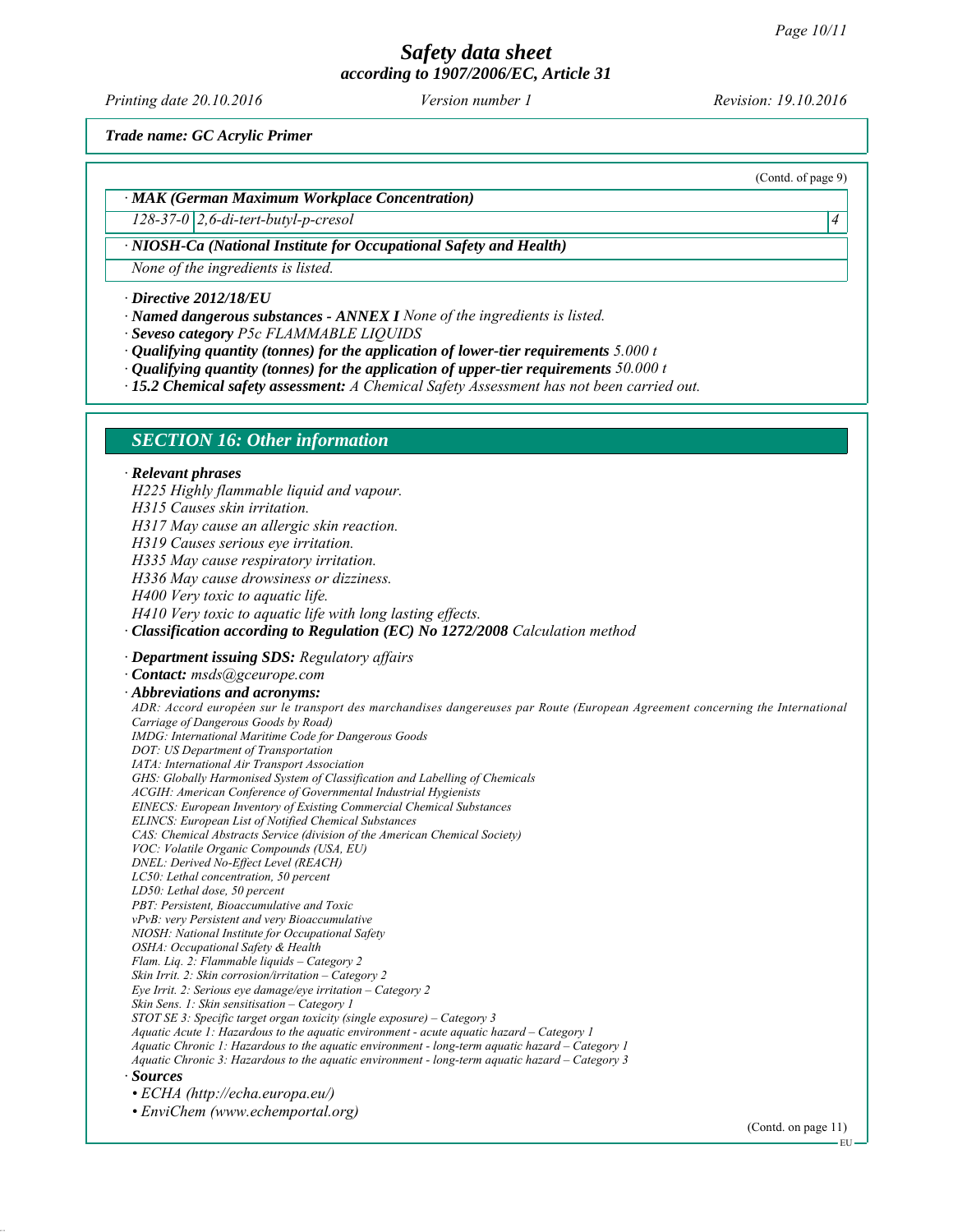# *Safety data sheet*

*according to 1907/2006/EC, Article 31*

*Printing date 20.10.2016 Revision: 19.10.2016 Version number 1*

(Contd. of page 9)

*Trade name: GC Acrylic Primer*

#### *∙ MAK (German Maximum Workplace Concentration)*

*128-37-0 2,6-di-tert-butyl-p-cresol 4* 

#### *∙ NIOSH-Ca (National Institute for Occupational Safety and Health)*

*None of the ingredients is listed.*

#### *∙ Directive 2012/18/EU*

- *∙ Named dangerous substances ANNEX I None of the ingredients is listed.*
- *∙ Seveso category P5c FLAMMABLE LIQUIDS*
- *∙ Qualifying quantity (tonnes) for the application of lower-tier requirements 5.000 t*
- *∙ Qualifying quantity (tonnes) for the application of upper-tier requirements 50.000 t*
- *∙ 15.2 Chemical safety assessment: A Chemical Safety Assessment has not been carried out.*

#### *SECTION 16: Other information*

#### *∙ Relevant phrases*

*H225 Highly flammable liquid and vapour. H315 Causes skin irritation. H317 May cause an allergic skin reaction. H319 Causes serious eye irritation. H335 May cause respiratory irritation. H336 May cause drowsiness or dizziness. H400 Very toxic to aquatic life. H410 Very toxic to aquatic life with long lasting effects. ∙ Classification according to Regulation (EC) No 1272/2008 Calculation method ∙ Department issuing SDS: Regulatory affairs ∙ Contact: msds@gceurope.com ∙ Abbreviations and acronyms: ADR: Accord européen sur le transport des marchandises dangereuses par Route (European Agreement concerning the International Carriage of Dangerous Goods by Road) IMDG: International Maritime Code for Dangerous Goods DOT: US Department of Transportation IATA: International Air Transport Association GHS: Globally Harmonised System of Classification and Labelling of Chemicals ACGIH: American Conference of Governmental Industrial Hygienists EINECS: European Inventory of Existing Commercial Chemical Substances ELINCS: European List of Notified Chemical Substances CAS: Chemical Abstracts Service (division of the American Chemical Society) VOC: Volatile Organic Compounds (USA, EU) DNEL: Derived No-Effect Level (REACH) LC50: Lethal concentration, 50 percent LD50: Lethal dose, 50 percent PBT: Persistent, Bioaccumulative and Toxic vPvB: very Persistent and very Bioaccumulative NIOSH: National Institute for Occupational Safety OSHA: Occupational Safety & Health Flam. Liq. 2: Flammable liquids – Category 2 Skin Irrit. 2: Skin corrosion/irritation – Category 2 Eye Irrit. 2: Serious eye damage/eye irritation – Category 2 Skin Sens. 1: Skin sensitisation – Category 1 STOT SE 3: Specific target organ toxicity (single exposure) – Category 3 Aquatic Acute 1: Hazardous to the aquatic environment - acute aquatic hazard – Category 1 Aquatic Chronic 1: Hazardous to the aquatic environment - long-term aquatic hazard – Category 1 Aquatic Chronic 3: Hazardous to the aquatic environment - long-term aquatic hazard – Category 3 ∙ Sources • ECHA (http://echa.europa.eu/) • EnviChem (www.echemportal.org)*

(Contd. on page 11)

EU